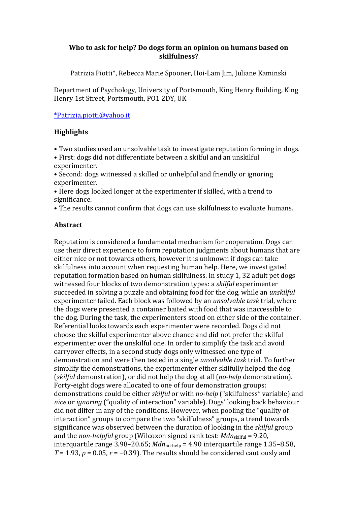#### Who to ask for help? Do dogs form an opinion on humans based on **skilfulness?**

Patrizia Piotti\*, Rebecca Marie Spooner, Hoi-Lam Jim, Juliane Kaminski

Department of Psychology, University of Portsmouth, King Henry Building, King Henry 1st Street, Portsmouth, PO1 2DY, UK

\*Patrizia.piotti@yahoo.it

### **Highlights**

• Two studies used an unsolvable task to investigate reputation forming in dogs.

• First: dogs did not differentiate between a skilful and an unskilful experimenter.

• Second: dogs witnessed a skilled or unhelpful and friendly or ignoring experimenter.

• Here dogs looked longer at the experimenter if skilled, with a trend to significance.

• The results cannot confirm that dogs can use skilfulness to evaluate humans.

#### **Abstract**

Reputation is considered a fundamental mechanism for cooperation. Dogs can use their direct experience to form reputation judgments about humans that are either nice or not towards others, however it is unknown if dogs can take skilfulness into account when requesting human help. Here, we investigated reputation formation based on human skilfulness. In study 1, 32 adult pet dogs witnessed four blocks of two demonstration types: a *skilful* experimenter succeeded in solving a puzzle and obtaining food for the dog, while an *unskilful* experimenter failed. Each block was followed by an *unsolvable task* trial, where the dogs were presented a container baited with food that was inaccessible to the dog. During the task, the experimenters stood on either side of the container. Referential looks towards each experimenter were recorded. Dogs did not choose the skilful experimenter above chance and did not prefer the skilful experimenter over the unskilful one. In order to simplify the task and avoid carryover effects, in a second study dogs only witnessed one type of demonstrationandwerethentestedinasingle*unsolvabletask* trial.Tofurther simplify the demonstrations, the experimenter either skilfully helped the dog (*skilful* demonstration), or did not help the dog at all (*no-help* demonstration). Forty-eight dogs were allocated to one of four demonstration groups: demonstrations could be either *skilful* or with *no-help* ("skilfulness" variable) and *nice* or *ignoring* ("quality of interaction" variable). Dogs' looking back behaviour did not differ in any of the conditions. However, when pooling the "quality of interaction" groups to compare the two "skilfulness" groups, a trend towards significance was observed between the duration of looking in the *skilful* group and the *non-helpful* group (Wilcoxon signed rank test: *Mdn*<sub>skilful</sub> = 9.20, interquartile range  $3.98-20.65$ ;  $Mdn<sub>no-help</sub> = 4.90$  interquartile range 1.35-8.58,  $T = 1.93$ ,  $p = 0.05$ ,  $r = -0.39$ ). The results should be considered cautiously and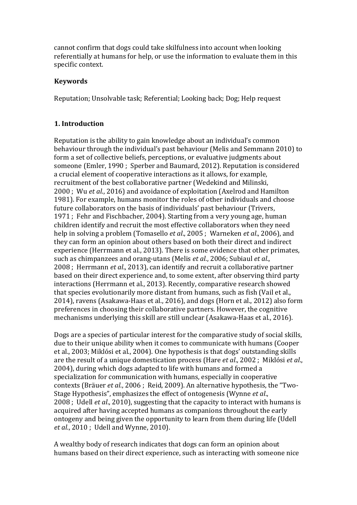cannot confirm that dogs could take skilfulness into account when looking referentially at humans for help, or use the information to evaluate them in this specific context.

#### **Keywords**

Reputation; Unsolvable task; Referential; Looking back; Dog; Help request

### **1.Introduction**

Reputation is the ability to gain knowledge about an individual's common behaviour through the individual's past behaviour (Melis and Semmann 2010) to form a set of collective beliefs, perceptions, or evaluative judgments about someone (Emler, 1990 ; Sperber and Baumard, 2012). Reputation is considered a crucial element of cooperative interactions as it allows, for example, recruitment of the best collaborative partner (Wedekind and Milinski, 2000 ; Wu et al., 2016) and avoidance of exploitation (Axelrod and Hamilton 1981). For example, humans monitor the roles of other individuals and choose future collaborators on the basis of individuals' past behaviour (Trivers, 1971 ; Fehr and Fischbacher, 2004). Starting from a very young age, human children identify and recruit the most effective collaborators when they need helpinsolvingaproblem(Tomasello*etal*.,2005 ; Warneken*etal*.,2006),and they can form an opinion about others based on both their direct and indirect experience (Herrmann et al., 2013). There is some evidence that other primates, such as chimpanzees and orang-utans (Melis et al., 2006; Subiaul et al., 2008 : Herrmann *et al.*, 2013), can identify and recruit a collaborative partner based on their direct experience and, to some extent, after observing third party interactions (Herrmann et al., 2013). Recently, comparative research showed that species evolutionarily more distant from humans, such as fish (Vail et al., 2014), ravens (Asakawa-Haas et al., 2016), and dogs (Horn et al., 2012) also form preferences in choosing their collaborative partners. However, the cognitive mechanisms underlying this skill are still unclear (Asakawa-Haas et al., 2016).

Dogs are a species of particular interest for the comparative study of social skills, due to their unique ability when it comes to communicate with humans (Cooper et al., 2003; Miklósi et al., 2004). One hypothesis is that dogs' outstanding skills are the result of a unique domestication process (Hare *et al.*, 2002 ; Miklósi *et al.*, 2004), during which dogs adapted to life with humans and formed a specialization for communication with humans, especially in cooperative contexts (Bräuer et al., 2006 ; Reid, 2009). An alternative hypothesis, the "Two-Stage Hypothesis<sup>"</sup>, emphasizes the effect of ontogenesis (Wynne *et al.*, 2008 ; Udell *et al.*, 2010), suggesting that the capacity to interact with humans is acquired after having accepted humans as companions throughout the early ontogeny and being given the opportunity to learn from them during life (Udell *etal*.,2010 ; UdellandWynne,2010).

A wealthy body of research indicates that dogs can form an opinion about humans based on their direct experience, such as interacting with someone nice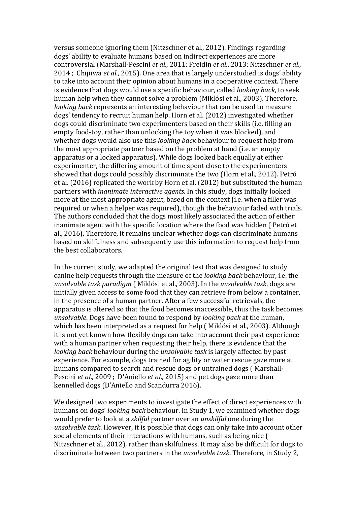versus someone ignoring them (Nitzschner et al., 2012). Findings regarding dogs' ability to evaluate humans based on indirect experiences are more controversial(Marshall-Pescini*etal*.,2011;Freidin*etal*.,2013;Nitzschner*etal*., 2014 ; Chijiiwa *et al.*, 2015). One area that is largely understudied is dogs' ability to take into account their opinion about humans in a cooperative context. There is evidence that dogs would use a specific behaviour, called *looking back*, to seek human help when they cannot solve a problem (Miklósi et al., 2003). Therefore, *looking back* represents an interesting behaviour that can be used to measure dogs' tendency to recruit human help. Horn et al. (2012) investigated whether dogs could discriminate two experimenters based on their skills (i.e. filling an empty food-toy, rather than unlocking the toy when it was blocked), and whether dogs would also use this *looking back* behaviour to request help from the most appropriate partner based on the problem at hand (i.e. an empty apparatus or a locked apparatus). While dogs looked back equally at either experimenter, the differing amount of time spent close to the experimenters showed that dogs could possibly discriminate the two (Horn et al., 2012). Petró et al. (2016) replicated the work by Horn et al. (2012) but substituted the human partners with *inanimate interactive agents*. In this study, dogs initially looked more at the most appropriate agent, based on the context (i.e. when a filler was required or when a helper was required), though the behaviour faded with trials. The authors concluded that the dogs most likely associated the action of either inanimate agent with the specific location where the food was hidden (Petró et al., 2016). Therefore, it remains unclear whether dogs can discriminate humans based on skilfulness and subsequently use this information to request help from the best collaborators.

In the current study, we adapted the original test that was designed to study canine help requests through the measure of the *looking back* behaviour, i.e. the *unsolvable task paradigm* (Miklósi et al., 2003). In the *unsolvable task*, dogs are initially given access to some food that they can retrieve from below a container, in the presence of a human partner. After a few successful retrievals, the apparatus is altered so that the food becomes inaccessible, thus the task becomes *unsolvable*. Dogs have been found to respond by *looking back* at the human, which has been interpreted as a request for help (Miklósi et al., 2003). Although it is not yet known how flexibly dogs can take into account their past experience with a human partner when requesting their help, there is evidence that the *looking back* behaviour during the *unsolvable task* is largely affected by past experience. For example, dogs trained for agility or water rescue gaze more at humans compared to search and rescue dogs or untrained dogs (Marshall-Pescini *et al.*, 2009; D'Aniello *et al.*, 2015) and pet dogs gaze more than kennelled dogs (D'Aniello and Scandurra 2016).

We designed two experiments to investigate the effect of direct experiences with humans on dogs' *looking back* behaviour. In Study 1, we examined whether dogs would prefer to look at a *skilful* partner over an *unskilful* one during the *unsolvable task*. However, it is possible that dogs can only take into account other social elements of their interactions with humans, such as being nice ( Nitzschner et al., 2012), rather than skilfulness. It may also be difficult for dogs to discriminate between two partners in the *unsolvable task*. Therefore, in Study 2,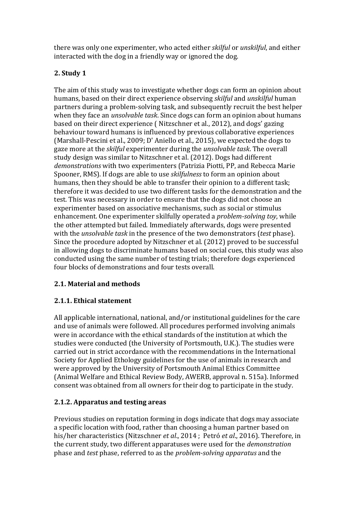therewasonlyoneexperimenter,whoactedeither*skilful* or*unskilful*,andeither interacted with the dog in a friendly way or ignored the dog.

# **2.Study1**

The aim of this study was to investigate whether dogs can form an opinion about humans, based on their direct experience observing *skilful* and *unskilful* human partners during a problem-solving task, and subsequently recruit the best helper when they face an *unsolvable task*. Since dogs can form an opinion about humans based on their direct experience (Nitzschner et al., 2012), and dogs' gazing behaviour toward humans is influenced by previous collaborative experiences (Marshall-Pescini et al., 2009; D' Aniello et al., 2015), we expected the dogs to gazemoreatthe*skilful* experimenterduringthe*unsolvabletask*.Theoverall study design was similar to Nitzschner et al. (2012). Dogs had different *demonstrations* with two experimenters (Patrizia Piotti, PP, and Rebecca Marie Spooner, RMS). If dogs are able to use *skilfulness* to form an opinion about humans, then they should be able to transfer their opinion to a different task; therefore it was decided to use two different tasks for the demonstration and the test. This was necessary in order to ensure that the dogs did not choose an experimenter based on associative mechanisms, such as social or stimulus enhancement. One experimenter skilfully operated a *problem-solving toy*, while the other attempted but failed. Immediately afterwards, dogs were presented with the *unsolvable task* in the presence of the two demonstrators (*test* phase). Since the procedure adopted by Nitzschner et al. (2012) proved to be successful in allowing dogs to discriminate humans based on social cues, this study was also conducted using the same number of testing trials; therefore dogs experienced four blocks of demonstrations and four tests overall.

# **2.1.Materialandmethods**

# **2.1.1. Ethical statement**

All applicable international, national, and/or institutional guidelines for the care and use of animals were followed. All procedures performed involving animals were in accordance with the ethical standards of the institution at which the studies were conducted (the University of Portsmouth, U.K.). The studies were carried out in strict accordance with the recommendations in the International Society for Applied Ethology guidelines for the use of animals in research and were approved by the University of Portsmouth Animal Ethics Committee (Animal Welfare and Ethical Review Body, AWERB, approval n. 515a). Informed consent was obtained from all owners for their dog to participate in the study.

# **2.1.2. Apparatus and testing areas**

Previous studies on reputation forming in dogs indicate that dogs may associate a specific location with food, rather than choosing a human partner based on his/her characteristics (Nitzschner et al., 2014 ; Petró et al., 2016). Therefore, in the current study, two different apparatuses were used for the *demonstration* phaseand*test* phase,referredtoasthe*problem-solvingapparatus* andthe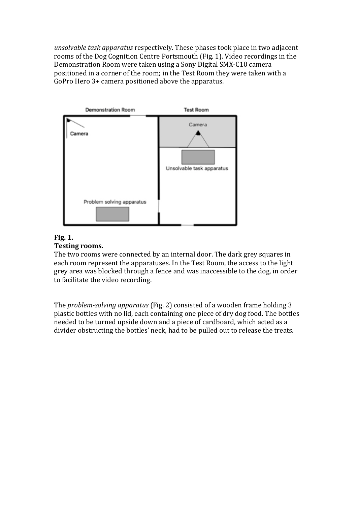*unsolvable task apparatus* respectively. These phases took place in two adjacent rooms of the Dog Cognition Centre Portsmouth (Fig. 1). Video recordings in the Demonstration Room were taken using a Sony Digital SMX-C10 camera positioned in a corner of the room; in the Test Room they were taken with a GoPro Hero 3+ camera positioned above the apparatus.



#### **Fig.1. Testing rooms.**

The two rooms were connected by an internal door. The dark grey squares in each room represent the apparatuses. In the Test Room, the access to the light grey area was blocked through a fence and was inaccessible to the dog, in order to facilitate the video recording.

The *problem-solving apparatus* (Fig. 2) consisted of a wooden frame holding 3 plastic bottles with no lid, each containing one piece of dry dog food. The bottles needed to be turned upside down and a piece of cardboard, which acted as a divider obstructing the bottles' neck, had to be pulled out to release the treats.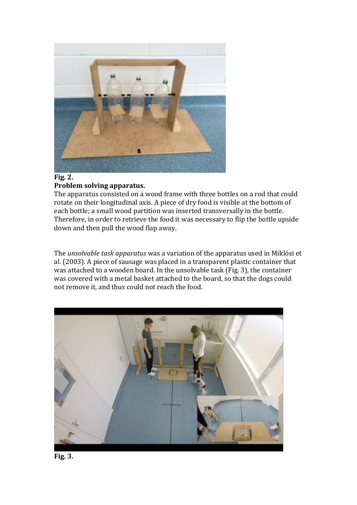

#### **Fig.2.**

### **Problemsolvingapparatus.**

The apparatus consisted on a wood frame with three bottles on a rod that could rotate on their longitudinal axis. A piece of dry food is visible at the bottom of each bottle; a small wood partition was inserted transversally in the bottle. Therefore, in order to retrieve the food it was necessary to flip the bottle upside down and then pull the wood flap away.

The *unsolvable task apparatus* was a variation of the apparatus used in Miklósi et al. (2003). A piece of sausage was placed in a transparent plastic container that was attached to a wooden board. In the unsolvable task (Fig. 3), the container was covered with a metal basket attached to the board, so that the dogs could not remove it, and thus could not reach the food.



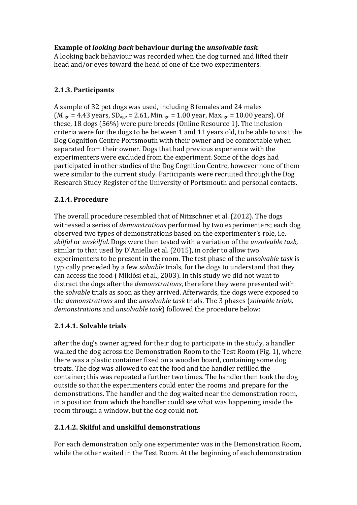## **Example of** *looking back* **behaviour during the** *unsolvable task.*

A looking back behaviour was recorded when the dog turned and lifted their head and/or eves toward the head of one of the two experimenters.

# **2.1.3.Participants**

A sample of 32 pet dogs was used, including 8 females and 24 males  $(M<sub>age</sub> = 4.43 \text{ years}, SD<sub>age</sub> = 2.61, Min<sub>age</sub> = 1.00 \text{ years}, Max<sub>age</sub> = 10.00 \text{ years}.$  Of these, 18 dogs (56%) were pure breeds (Online Resource 1). The inclusion criteria were for the dogs to be between 1 and 11 years old, to be able to visit the Dog Cognition Centre Portsmouth with their owner and be comfortable when separated from their owner. Dogs that had previous experience with the experimenters were excluded from the experiment. Some of the dogs had participated in other studies of the Dog Cognition Centre, however none of them were similar to the current study. Participants were recruited through the Dog Research Study Register of the University of Portsmouth and personal contacts.

# **2.1.4.Procedure**

The overall procedure resembled that of Nitzschner et al. (2012). The dogs witnessed a series of *demonstrations* performed by two experimenters; each dog observed two types of demonstrations based on the experimenter's role, i.e. *skilful* or *unskilful.* Dogs were then tested with a variation of the *unsolvable task*, similar to that used by D'Aniello et al. (2015), in order to allow two experimenters to be present in the room. The test phase of the *unsolvable task* is typically preceded by a few *solvable* trials, for the dogs to understand that they can access the food (Miklósi et al., 2003). In this study we did not want to distract the dogs after the *demonstrations*, therefore they were presented with the *solvable* trials as soon as they arrived. Afterwards, the dogs were exposed to the *demonstrations* and the *unsolvable task* trials. The 3 phases (*solvable trials*, *demonstrations* and *unsolvable task*) followed the procedure below:

# **2.1.4.1.Solvabletrials**

after the dog's owner agreed for their dog to participate in the study, a handler walked the dog across the Demonstration Room to the Test Room (Fig. 1), where there was a plastic container fixed on a wooden board, containing some dog treats. The dog was allowed to eat the food and the handler refilled the container; this was repeated a further two times. The handler then took the dog outside so that the experimenters could enter the rooms and prepare for the demonstrations. The handler and the dog waited near the demonstration room, in a position from which the handler could see what was happening inside the room through a window, but the dog could not.

# **2.1.4.2.Skilfulandunskilfuldemonstrations**

For each demonstration only one experimenter was in the Demonstration Room, while the other waited in the Test Room. At the beginning of each demonstration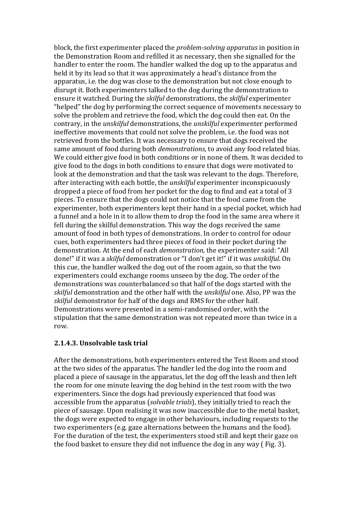block, the first experimenter placed the *problem-solving apparatus* in position in the Demonstration Room and refilled it as necessary, then she signalled for the handler to enter the room. The handler walked the dog up to the apparatus and held it by its lead so that it was approximately a head's distance from the apparatus, i.e. the dog was close to the demonstration but not close enough to disrupt it. Both experimenters talked to the dog during the demonstration to ensure it watched. During the *skilful* demonstrations, the *skilful* experimenter "helped" the dog by performing the correct sequence of movements necessary to solve the problem and retrieve the food, which the dog could then eat. On the contrary, in the *unskilful* demonstrations, the *unskilful* experimenter performed ineffective movements that could not solve the problem, i.e. the food was not retrieved from the bottles. It was necessary to ensure that dogs received the same amount of food during both *demonstrations*, to avoid any food related bias. We could either give food in both conditions or in none of them. It was decided to give food to the dogs in both conditions to ensure that dogs were motivated to look at the demonstration and that the task was relevant to the dogs. Therefore, after interacting with each bottle, the *unskilful* experimenter inconspicuously dropped a piece of food from her pocket for the dog to find and eat a total of 3 pieces. To ensure that the dogs could not notice that the food came from the experimenter, both experimenters kept their hand in a special pocket, which had a funnel and a hole in it to allow them to drop the food in the same area where it fell during the skilful demonstration. This way the dogs received the same amount of food in both types of demonstrations. In order to control for odour cues, both experimenters had three pieces of food in their pocket during the demonstration. At the end of each *demonstration*, the experimenter said: "All done!" if it was a *skilful* demonstration or "I don't get it!" if it was *unskilful*. On this cue, the handler walked the dog out of the room again, so that the two experimenters could exchange rooms unseen by the dog. The order of the demonstrations was counterbalanced so that half of the dogs started with the *skilful* demonstration and the other half with the *unskilful* one. Also, PP was the *skilful* demonstrator for half of the dogs and RMS for the other half. Demonstrations were presented in a semi-randomised order, with the stipulation that the same demonstration was not repeated more than twice in a row.

#### **2.1.4.3.Unsolvabletasktrial**

After the demonstrations, both experimenters entered the Test Room and stood at the two sides of the apparatus. The handler led the dog into the room and placed a piece of sausage in the apparatus, let the dog off the leash and then left the room for one minute leaving the dog behind in the test room with the two experimenters. Since the dogs had previously experienced that food was accessible from the apparatus (*solvable trials*), they initially tried to reach the piece of sausage. Upon realising it was now inaccessible due to the metal basket, the dogs were expected to engage in other behaviours, including requests to the two experimenters (e.g. gaze alternations between the humans and the food). For the duration of the test, the experimenters stood still and kept their gaze on the food basket to ensure they did not influence the dog in any way (Fig. 3).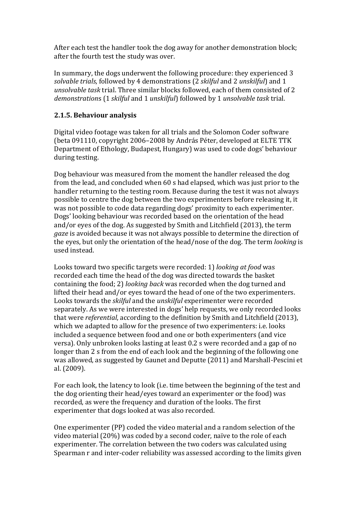After each test the handler took the dog away for another demonstration block; after the fourth test the study was over.

In summary, the dogs underwent the following procedure: they experienced 3 *solvable trials*, followed by 4 demonstrations (2 *skilful* and 2 *unskilful*) and 1 *unsolvable task* trial. Three similar blocks followed, each of them consisted of 2 *demonstration*s(1*skilful* and1*unskilful*)followedby1*unsolvabletask* trial.

### **2.1.5.Behaviouranalysis**

Digital video footage was taken for all trials and the Solomon Coder software (beta 091110, copyright 2006–2008 by András Péter, developed at ELTE TTK Department of Ethology, Budapest, Hungary) was used to code dogs' behaviour during testing.

Dog behaviour was measured from the moment the handler released the dog from the lead, and concluded when 60 s had elapsed, which was just prior to the handler returning to the testing room. Because during the test it was not always possible to centre the dog between the two experimenters before releasing it, it was not possible to code data regarding dogs' proximity to each experimenter. Dogs' looking behaviour was recorded based on the orientation of the head and/or eyes of the dog. As suggested by Smith and Litchfield (2013), the term *gaze* is avoided because it was not always possible to determine the direction of the eyes, but only the orientation of the head/nose of the dog. The term *looking* is used instead.

Looks toward two specific targets were recorded: 1) *looking at food* was recorded each time the head of the dog was directed towards the basket containing the food; 2) *looking back* was recorded when the dog turned and lifted their head and/or eyes toward the head of one of the two experimenters. Looks towards the *skilful* and the *unskilful* experimenter were recorded separately. As we were interested in dogs' help requests, we only recorded looks that were *referential*, according to the definition by Smith and Litchfield (2013), which we adapted to allow for the presence of two experimenters: i.e. looks included a sequence between food and one or both experimenters (and vice versa). Only unbroken looks lasting at least 0.2 s were recorded and a gap of no longer than 2 s from the end of each look and the beginning of the following one was allowed, as suggested by Gaunet and Deputte (2011) and Marshall-Pescini et al.(2009).

For each look, the latency to look (i.e. time between the beginning of the test and the dog orienting their head/eyes toward an experimenter or the food) was recorded, as were the frequency and duration of the looks. The first experimenter that dogs looked at was also recorded.

One experimenter (PP) coded the video material and a random selection of the video material (20%) was coded by a second coder, naïve to the role of each experimenter. The correlation between the two coders was calculated using Spearman r and inter-coder reliability was assessed according to the limits given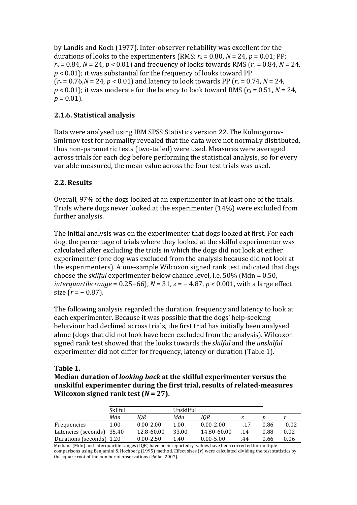by Landis and Koch (1977). Inter-observer reliability was excellent for the durations of looks to the experimenters (RMS:  $r_s = 0.80$ ,  $N = 24$ ,  $p = 0.01$ ; PP:  $r_s = 0.84$ ,  $N = 24$ ,  $p < 0.01$ ) and frequency of looks towards RMS ( $r_s = 0.84$ ,  $N = 24$ ).  $p < 0.01$ ); it was substantial for the frequency of looks toward PP  $(r_s = 0.76, N = 24, p < 0.01)$  and latency to look towards PP  $(r_s = 0.74, N = 24,$  $p$  < 0.01); it was moderate for the latency to look toward RMS ( $r_s$  = 0.51,  $N$  = 24,  $p = 0.01$ .

#### **2.1.6.Statisticalanalysis**

Data were analysed using IBM SPSS Statistics version 22. The Kolmogorov-Smirnov test for normality revealed that the data were not normally distributed, thus non-parametric tests (two-tailed) were used. Measures were averaged across trials for each dog before performing the statistical analysis, so for every variable measured, the mean value across the four test trials was used.

#### **2.2.Results**

Overall, 97% of the dogs looked at an experimenter in at least one of the trials. Trials where dogs never looked at the experimenter (14%) were excluded from further analysis.

The initial analysis was on the experimenter that dogs looked at first. For each dog, the percentage of trials where they looked at the skilful experimenter was calculated after excluding the trials in which the dogs did not look at either experimenter (one dog was excluded from the analysis because did not look at the experimenters). A one-sample Wilcoxon signed rank test indicated that dogs choose the *skilful* experimenter below chance level, i.e. 50% (Mdn = 0.50, *interquartile range* =  $0.25 - 66$ ),  $N = 31$ ,  $z = -4.87$ ,  $p < 0.001$ , with a large effect size  $(r = -0.87)$ .

The following analysis regarded the duration, frequency and latency to look at each experimenter. Because it was possible that the dogs' help-seeking behaviour had declined across trials, the first trial has initially been analysed alone (dogs that did not look have been excluded from the analysis). Wilcoxon signed rank test showed that the looks towards the *skilful* and the *unskilful* experimenter did not differ for frequency, latency or duration (Table 1).

#### **Table1.**

**Median duration of** *looking back* **at the skilful experimenter versus the unskilfulexperimenterduringthefirsttrial,resultsofrelated-measures Wilcoxon signed rank test**  $(N = 27)$ **.** 

|                           | Skilful |               | Unskilful |               |       |      |         |
|---------------------------|---------|---------------|-----------|---------------|-------|------|---------|
|                           | Mdn     | IOR           | Mdn       | IOR           |       |      |         |
| Frequencies               | 1.00    | $0.00 - 2.00$ | 1.00      | $0.00 - 2.00$ | $-17$ | 0.86 | $-0.02$ |
| Latencies (seconds) 35.40 |         | 12.8-60.00    | 33.00     | 14.80-60.00   | 14    | 0.88 | 0.02    |
| Durations (seconds) 1.20  |         | $0.00 - 2.50$ | 1.40      | $0.00 - 5.00$ | .44   | 0.66 | 0.06    |

Medians (Mdn) and interquartile ranges (IQR) have been reported; *p*-values have been corrected for multiple comparisons using Benjamini & Hochberg (1995) method. Effect sizes (*r*) were calculated dividing the test statistics by the square root of the number of observations (Pallat, 2007).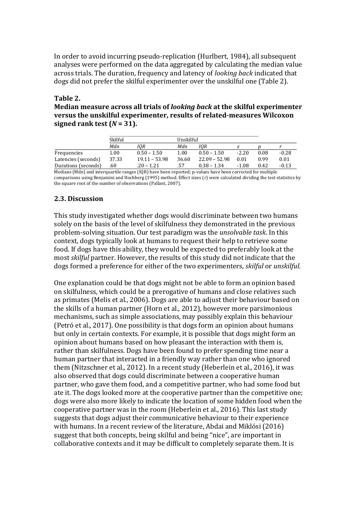In order to avoid incurring pseudo-replication (Hurlbert, 1984), all subsequent analyses were performed on the data aggregated by calculating the median value across trials. The duration, frequency and latency of *looking back* indicated that dogs did not prefer the skilful experimenter over the unskilful one (Table 2).

#### **Table2.**

**Medianmeasureacrossalltrialsof***lookingback* **attheskilfulexperimenter** versus the unskilful experimenter, results of related-measures Wilcoxon **signed rank test (** $N = 31$ **).** 

| IOR             | Mdn   | IOR             |         |      |         |
|-----------------|-------|-----------------|---------|------|---------|
|                 |       |                 |         |      |         |
| $0.50 - 1.50$   | 1.00  | $0.50 - 1.50$   | $-2.20$ | 0.08 | $-0.28$ |
| $19.11 - 53.98$ | 36.60 | $22.09 - 52.98$ | 0.01    | 0.99 | 0.01    |
| $.20 - 1.21$    | .57   | $0.38 - 1.34$   | $-1.08$ | 0.42 | $-0.13$ |
|                 |       |                 |         |      |         |

Medians (Mdn) and interquartile ranges (IQR) have been reported; p-values have been corrected for multiple comparisons using Benjamini and Hochberg (1995) method. Effect sizes (r) were calculated dividing the test statistics by the square root of the number of observations (Pallant, 2007).

#### **2.3.Discussion**

This study investigated whether dogs would discriminate between two humans solely on the basis of the level of skilfulness they demonstrated in the previous problem-solving situation. Our test paradigm was the *unsolvable task*. In this context, dogs typically look at humans to request their help to retrieve some food. If dogs have this ability, they would be expected to preferably look at the most *skilful* partner. However, the results of this study did not indicate that the dogsformedapreferenceforeitherofthetwoexperimenters,*skilful* or*unskilful*.

One explanation could be that dogs might not be able to form an opinion based on skilfulness, which could be a prerogative of humans and close relatives such as primates (Melis et al., 2006). Dogs are able to adjust their behaviour based on the skills of a human partner (Horn et al., 2012), however more parsimonious mechanisms, such as simple associations, may possibly explain this behaviour (Petró et al., 2017). One possibility is that dogs form an opinion about humans but only in certain contexts. For example, it is possible that dogs might form an opinion about humans based on how pleasant the interaction with them is, rather than skilfulness. Dogs have been found to prefer spending time near a human partner that interacted in a friendly way rather than one who ignored them (Nitzschner et al., 2012). In a recent study (Heberlein et al., 2016), it was also observed that dogs could discriminate between a cooperative human partner, who gave them food, and a competitive partner, who had some food but ate it. The dogs looked more at the cooperative partner than the competitive one; dogs were also more likely to indicate the location of some hidden food when the cooperative partner was in the room (Heberlein et al., 2016). This last study suggests that dogs adjust their communicative behaviour to their experience with humans. In a recent review of the literature, Abdai and Miklósi (2016) suggest that both concepts, being skilful and being "nice", are important in collaborative contexts and it may be difficult to completely separate them. It is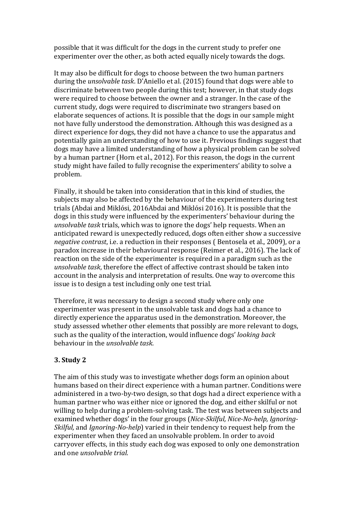possible that it was difficult for the dogs in the current study to prefer one experimenter over the other, as both acted equally nicely towards the dogs.

It may also be difficult for dogs to choose between the two human partners during the *unsolvable task*. D'Aniello et al. (2015) found that dogs were able to discriminate between two people during this test; however, in that study dogs were required to choose between the owner and a stranger. In the case of the current study, dogs were required to discriminate two strangers based on elaborate sequences of actions. It is possible that the dogs in our sample might not have fully understood the demonstration. Although this was designed as a direct experience for dogs, they did not have a chance to use the apparatus and potentially gain an understanding of how to use it. Previous findings suggest that dogs may have a limited understanding of how a physical problem can be solved by a human partner (Horn et al., 2012). For this reason, the dogs in the current study might have failed to fully recognise the experimenters' ability to solve a problem.

Finally, it should be taken into consideration that in this kind of studies, the subjects may also be affected by the behaviour of the experimenters during test trials (Abdai and Miklósi, 2016Abdai and Miklósi 2016). It is possible that the dogs in this study were influenced by the experimenters' behaviour during the *unsolvable task* trials, which was to ignore the dogs' help requests. When an anticipated reward is unexpectedly reduced, dogs often either show a successive *negative contrast, i.e.* a reduction in their responses (Bentosela et al., 2009), or a paradox increase in their behavioural response (Reimer et al., 2016). The lack of reaction on the side of the experimenter is required in a paradigm such as the *unsolvable task*, therefore the effect of affective contrast should be taken into account in the analysis and interpretation of results. One way to overcome this issue is to design a test including only one test trial.

Therefore, it was necessary to design a second study where only one experimenter was present in the unsolvable task and dogs had a chance to directly experience the apparatus used in the demonstration. Moreover, the study assessed whether other elements that possibly are more relevant to dogs, such as the quality of the interaction, would influence dogs' looking back behaviour in the *unsolvable task*.

### **3.Study2**

The aim of this study was to investigate whether dogs form an opinion about humans based on their direct experience with a human partner. Conditions were administered in a two-by-two design, so that dogs had a direct experience with a human partner who was either nice or ignored the dog, and either skilful or not willing to help during a problem-solving task. The test was between subjects and examined whether dogs' in the four groups (*Nice-Skilful, Nice-No-help, Ignoring-Skilful,* and *Ignoring-No-help*) varied in their tendency to request help from the experimenter when they faced an unsolvable problem. In order to avoid carryover effects, in this study each dog was exposed to only one demonstration and one *unsolvable trial*.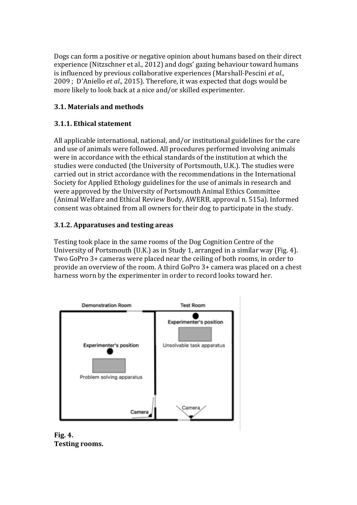Dogs can form a positive or negative opinion about humans based on their direct experience (Nitzschner et al., 2012) and dogs' gazing behaviour toward humans is influenced by previous collaborative experiences (Marshall-Pescini et al., 2009 ; D'Aniello *et al.*, 2015). Therefore, it was expected that dogs would be more likely to look back at a nice and/or skilled experimenter.

## **3.1.Materialsandmethods**

## **3.1.1.Ethicalstatement**

All applicable international, national, and/or institutional guidelines for the care and use of animals were followed. All procedures performed involving animals were in accordance with the ethical standards of the institution at which the studies were conducted (the University of Portsmouth, U.K.). The studies were carried out in strict accordance with the recommendations in the International Society for Applied Ethology guidelines for the use of animals in research and were approved by the University of Portsmouth Animal Ethics Committee (Animal Welfare and Ethical Review Body, AWERB, approval n. 515a). Informed consent was obtained from all owners for their dog to participate in the study.

## **3.1.2. Apparatuses and testing areas**

Testing took place in the same rooms of the Dog Cognition Centre of the University of Portsmouth (U.K.) as in Study 1, arranged in a similar way (Fig. 4). Two GoPro 3+ cameras were placed near the ceiling of both rooms, in order to provide an overview of the room. A third GoPro 3+ camera was placed on a chest harness worn by the experimenter in order to record looks toward her.



**Fig.4. Testing rooms.**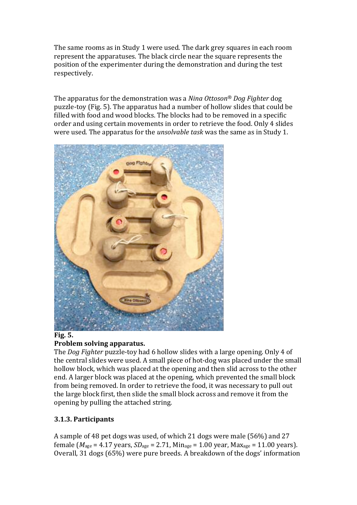The same rooms as in Study 1 were used. The dark grey squares in each room represent the apparatuses. The black circle near the square represents the position of the experimenter during the demonstration and during the test respectively.

The apparatus for the demonstration was a *Nina Ottoson® Dog Fighter* dog puzzle-toy (Fig. 5). The apparatus had a number of hollow slides that could be filled with food and wood blocks. The blocks had to be removed in a specific order and using certain movements in order to retrieve the food. Only 4 slides were used. The apparatus for the *unsolvable task* was the same as in Study 1.



#### **Fig.5.**

### **Problemsolvingapparatus.**

The *Dog Fighter* puzzle-toy had 6 hollow slides with a large opening. Only 4 of the central slides were used. A small piece of hot-dog was placed under the small hollow block, which was placed at the opening and then slid across to the other end. A larger block was placed at the opening, which prevented the small block from being removed. In order to retrieve the food, it was necessary to pull out the large block first, then slide the small block across and remove it from the opening by pulling the attached string.

# **3.1.3.Participants**

A sample of 48 pet dogs was used, of which 21 dogs were male (56%) and 27 female ( $M_{\text{age}} = 4.17$  years,  $SD_{\text{age}} = 2.71$ , Min<sub>age</sub> = 1.00 year, Max<sub>age</sub> = 11.00 years). Overall, 31 dogs (65%) were pure breeds. A breakdown of the dogs' information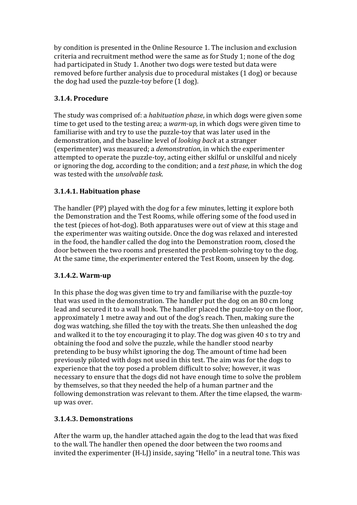by condition is presented in the Online Resource 1. The inclusion and exclusion criteria and recruitment method were the same as for Study 1; none of the dog had participated in Study 1. Another two dogs were tested but data were removed before further analysis due to procedural mistakes (1 dog) or because the dog had used the puzzle-toy before (1 dog).

## **3.1.4.Procedure**

The study was comprised of: a *habituation phase*, in which dogs were given some time to get used to the testing area; a warm-up, in which dogs were given time to familiarise with and try to use the puzzle-toy that was later used in the demonstration, and the baseline level of *looking back* at a stranger (experimenter) was measured; a *demonstration*, in which the experimenter attempted to operate the puzzle-toy, acting either skilful or unskilful and nicely or ignoring the dog, according to the condition; and a *test phase*, in which the dog was tested with the *unsolvable task*.

## **3.1.4.1.Habituationphase**

The handler (PP) played with the dog for a few minutes, letting it explore both the Demonstration and the Test Rooms, while offering some of the food used in the test (pieces of hot-dog). Both apparatuses were out of view at this stage and the experimenter was waiting outside. Once the dog was relaxed and interested in the food, the handler called the dog into the Demonstration room, closed the door between the two rooms and presented the problem-solving toy to the dog. At the same time, the experimenter entered the Test Room, unseen by the dog.

### **3.1.4.2.Warm-up**

In this phase the dog was given time to try and familiarise with the puzzle-toy that was used in the demonstration. The handler put the dog on an 80 cm long lead and secured it to a wall hook. The handler placed the puzzle-toy on the floor, approximately 1 metre away and out of the dog's reach. Then, making sure the dog was watching, she filled the toy with the treats. She then unleashed the dog and walked it to the toy encouraging it to play. The dog was given 40 s to try and obtaining the food and solve the puzzle, while the handler stood nearby pretending to be busy whilst ignoring the dog. The amount of time had been previouslypilotedwithdogsnotusedinthistest.Theaimwasforthedogsto experience that the toy posed a problem difficult to solve; however, it was necessary to ensure that the dogs did not have enough time to solve the problem by themselves, so that they needed the help of a human partner and the following demonstration was relevant to them. After the time elapsed, the warmup was over.

### **3.1.4.3.Demonstrations**

After the warm up, the handler attached again the dog to the lead that was fixed to the wall. The handler then opened the door between the two rooms and invited the experimenter (H-LJ) inside, saying "Hello" in a neutral tone. This was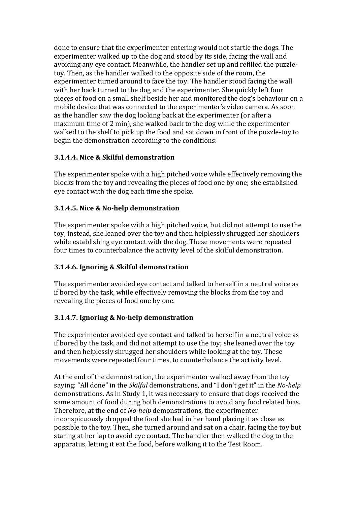done to ensure that the experimenter entering would not startle the dogs. The experimenter walked up to the dog and stood by its side, facing the wall and avoiding any eye contact. Meanwhile, the handler set up and refilled the puzzletoy. Then, as the handler walked to the opposite side of the room, the experimenter turned around to face the toy. The handler stood facing the wall with her back turned to the dog and the experimenter. She quickly left four pieces of food on a small shelf beside her and monitored the dog's behaviour on a mobile device that was connected to the experimenter's video camera. As soon as the handler saw the dog looking back at the experimenter (or after a maximum time of 2 min), she walked back to the dog while the experimenter walked to the shelf to pick up the food and sat down in front of the puzzle-toy to begin the demonstration according to the conditions:

## **3.1.4.4.Nice&Skilfuldemonstration**

The experimenter spoke with a high pitched voice while effectively removing the blocks from the toy and revealing the pieces of food one by one; she established eye contact with the dog each time she spoke.

### **3.1.4.5.Nice&No-helpdemonstration**

The experimenter spoke with a high pitched voice, but did not attempt to use the toy; instead, she leaned over the toy and then helplessly shrugged her shoulders while establishing eye contact with the dog. These movements were repeated four times to counterbalance the activity level of the skilful demonstration.

# **3.1.4.6.Ignoring&Skilfuldemonstration**

The experimenter avoided eye contact and talked to herself in a neutral voice as if bored by the task, while effectively removing the blocks from the toy and revealing the pieces of food one by one.

### **3.1.4.7.Ignoring&No-helpdemonstration**

The experimenter avoided eve contact and talked to herself in a neutral voice as if bored by the task, and did not attempt to use the toy; she leaned over the toy and then helplessly shrugged her shoulders while looking at the toy. These movements were repeated four times, to counterbalance the activity level.

At the end of the demonstration, the experimenter walked away from the toy saying: "All done" in the *Skilful* demonstrations, and "I don't get it" in the *No-help* demonstrations. As in Study 1, it was necessary to ensure that dogs received the same amount of food during both demonstrations to avoid any food related bias. Therefore, at the end of *No-help* demonstrations, the experimenter inconspicuously dropped the food she had in her hand placing it as close as possible to the toy. Then, she turned around and sat on a chair, facing the toy but staring at her lap to avoid eye contact. The handler then walked the dog to the apparatus, letting it eat the food, before walking it to the Test Room.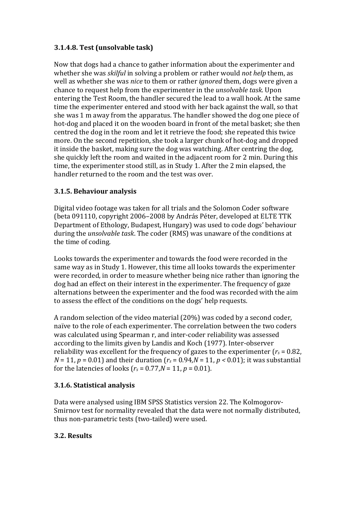### **3.1.4.8.Test(unsolvabletask)**

Now that dogs had a chance to gather information about the experimenter and whether she was *skilful* in solving a problem or rather would *not help* them, as well as whether she was *nice* to them or rather *ignored* them, dogs were given a chance to request help from the experimenter in the *unsolvable task*. Upon entering the Test Room, the handler secured the lead to a wall hook. At the same time the experimenter entered and stood with her back against the wall, so that she was 1 m away from the apparatus. The handler showed the dog one piece of hot-dog and placed it on the wooden board in front of the metal basket; she then centred the dog in the room and let it retrieve the food; she repeated this twice more. On the second repetition, she took a larger chunk of hot-dog and dropped it inside the basket, making sure the dog was watching. After centring the dog, she quickly left the room and waited in the adjacent room for 2 min. During this time, the experimenter stood still, as in Study 1. After the 2 min elapsed, the handler returned to the room and the test was over.

## **3.1.5.Behaviouranalysis**

Digital video footage was taken for all trials and the Solomon Coder software (beta 091110, copyright 2006–2008 by András Péter, developed at ELTE TTK Department of Ethology, Budapest, Hungary) was used to code dogs' behaviour during the *unsolvable task*. The coder (RMS) was unaware of the conditions at the time of coding.

Looks towards the experimenter and towards the food were recorded in the same way as in Study 1. However, this time all looks towards the experimenter were recorded, in order to measure whether being nice rather than ignoring the dog had an effect on their interest in the experimenter. The frequency of gaze alternations between the experimenter and the food was recorded with the aim to assess the effect of the conditions on the dogs' help requests.

A random selection of the video material (20%) was coded by a second coder, naïve to the role of each experimenter. The correlation between the two coders was calculated using Spearman r, and inter-coder reliability was assessed according to the limits given by Landis and Koch (1977). Inter-observer reliability was excellent for the frequency of gazes to the experimenter ( $r_s$  = 0.82, *N* = 11, *p* = 0.01) and their duration ( $r_s$  = 0.94,*N* = 11, *p* < 0.01); it was substantial for the latencies of looks ( $r_s$  = 0.77, $N$  = 11,  $p$  = 0.01).

### **3.1.6.Statisticalanalysis**

Data were analysed using IBM SPSS Statistics version 22. The Kolmogorov-Smirnov test for normality revealed that the data were not normally distributed, thus non-parametric tests (two-tailed) were used.

### **3.2.Results**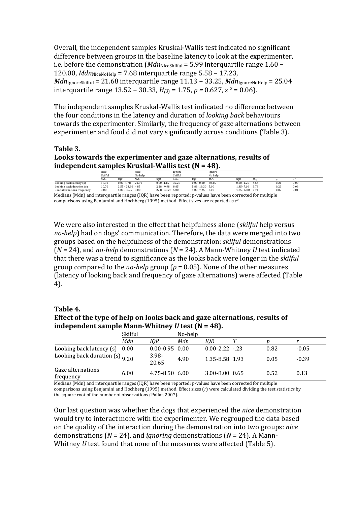Overall, the independent samples Kruskal-Wallis test indicated no significant difference between groups in the baseline latency to look at the experimenter, i.e. before the demonstration ( $Mdn_{\text{NiceSkilful}} = 5.99$  interquartile range  $1.60 -$ 120.00,  $Mdn_{\text{NiceNoHelp}} = 7.68$  interquartile range  $5.58 - 17.23$ ,  $Mdn<sub>IgmoreStillful</sub> = 21.68 interquartile range 11.13 - 33.25, Mdn<sub>IgmoreNoHelp</sub> = 25.04$ interquartile range  $13.52 - 30.33$ ,  $H_{(3)} = 1.75$ ,  $p = 0.627$ ,  $\varepsilon^2 = 0.06$ ).

The independent samples Kruskal-Wallis test indicated no difference between the four conditions in the latency and duration of *looking back* behaviours towards the experimenter. Similarly, the frequency of gaze alternations between experimenter and food did not vary significantly across conditions (Table 3).

#### **Table3.**

#### Looks towards the experimenter and gaze alternations, results of **independent samples Kruskal-Wallis test (N = 48).**

|                             | Nice    |                     | Nice    |                     | lgnore  |                 | Ignore  |                    |          |      |      |
|-----------------------------|---------|---------------------|---------|---------------------|---------|-----------------|---------|--------------------|----------|------|------|
|                             | Skilful |                     | No help |                     | Skilful |                 | No help |                    |          |      |      |
|                             | Mdn     | <b>IOR</b>          | Mdn     | <b>IOR</b>          | Mdn     | <b>IOR</b>      | Mdn     | IOR                | $H_{12}$ |      |      |
| Looking back latency (s)    | 18.30   | $0.00 - 1.78$       | 21.90   | $0.00 - 4.15$       | 32.25   | $0.00 - 0.00$   | 30.45   | $0.00 - 1.25$      | 4.54     | 0.21 | 0.09 |
| Looking back duration (s)   | 10.70   | $3.55 - 23.80$ 4.85 |         | $2.28 - 9.98$       | 8.85    | 5.88-19.30 5.00 |         | 1.35-7.10          | 3.73     | 0.29 | 0.08 |
| Gaze alternations frequency | 3.00    | $1.00 - 6.25$       | 3.00    | $22.8 - 49.25$ 5.00 |         | $1.00 - 7.25$   | 3.00    | $1.75 - 6.00$ 0.71 |          | 0.87 | 0.01 |
|                             |         |                     |         |                     |         |                 |         |                    |          |      |      |

Medians (Mdn) and interquartile ranges (IQR) have been reported; p-values have been corrected for multiple comparisons using Benjamini and Hochberg (1995) method. Effect sizes are reported as  $\varepsilon^2$ .

We were also interested in the effect that helpfulness alone (skilful help versus no-help) had on dogs' communication. Therefore, the data were merged into two groups based on the helpfulness of the demonstration: *skilful* demonstrations ( $N = 24$ ), and *no-help* demonstrations ( $N = 24$ ). A Mann-Whitney U test indicated that there was a trend to significance as the looks back were longer in the skilful group compared to the *no-help* group ( $p = 0.05$ ). None of the other measures (latency of looking back and frequency of gaze alternations) were affected (Table 4).

#### **Table4.** Effect of the type of help on looks back and gaze alternations, results of **independent sample Mann-Whitney** *U* **test** ( $N = 48$ ).

|                                  | Skilful |                    | No-help |                      |      |         |
|----------------------------------|---------|--------------------|---------|----------------------|------|---------|
|                                  | Mdn     | IOR                | Mdn     | IOR                  |      |         |
| Looking back latency (s)         | 0.00    | $0.00 - 0.95$ 0.00 |         | $0.00 - 2.22 - 2.23$ | 0.82 | $-0.05$ |
| Looking back duration (s) $9.20$ |         | $3.98 -$<br>20.65  | 4.90    | 1.35-8.58 1.93       | 0.05 | $-0.39$ |
| Gaze alternations<br>frequency   | 6.00    | 4.75-8.50 6.00     |         | 3.00-8.00 0.65       | 0.52 | 0.13    |

Medians (Mdn) and interquartile ranges (IQR) have been reported; p-values have been corrected for multiple comparisons using Benjamini and Hochberg (1995) method. Effect sizes (r) were calculated dividing the test statistics by the square root of the number of observations (Pallat, 2007).

Our last question was whether the dogs that experienced the *nice* demonstration would try to interact more with the experimenter. We regrouped the data based on the quality of the interaction during the demonstration into two groups: nice demonstrations ( $N = 24$ ), and *ignoring* demonstrations ( $N = 24$ ). A Mann-Whitney *U* test found that none of the measures were affected (Table 5).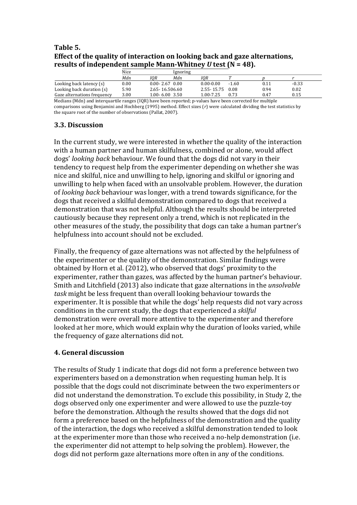### **Table5. Effect of the quality of interaction on looking back and gaze alternations, results of independent sample Mann-Whitney** *U* **test (N = 48).**

|                                                                                                            | Nice |                    | lgnoring |               |         |      |         |  |
|------------------------------------------------------------------------------------------------------------|------|--------------------|----------|---------------|---------|------|---------|--|
|                                                                                                            | Mdn  | IOR                | Mdn      | IOR           |         |      |         |  |
| Looking back latency (s)                                                                                   | 0.00 | $0.00 - 2.67$ 0.00 |          | $0.00 - 0.00$ | $-1.60$ | 0.11 | $-0.33$ |  |
| Looking back duration (s)                                                                                  | 5.90 | 2.65 - 16.506.60   |          | 2.55-15.75    | 0.08    | 0.94 | 0.02    |  |
| Gaze alternations frequency                                                                                | 3.00 | $1.00 - 6.00$ 3.50 |          | 1.00-7.25     | 0.73    | 0.47 | 0.15    |  |
| Medians (Mdn) and interquartile ranges (IQR) have been reported; p-values have been corrected for multiple |      |                    |          |               |         |      |         |  |

comparisons using Benjamini and Hochberg (1995) method. Effect sizes (r) were calculated dividing the test statistics by the square root of the number of observations (Pallat, 2007).

#### **3.3.Discussion**

In the current study, we were interested in whether the quality of the interaction with a human partner and human skilfulness, combined or alone, would affect dogs' looking back behaviour. We found that the dogs did not vary in their tendency to request help from the experimenter depending on whether she was nice and skilful, nice and unwilling to help, ignoring and skilful or ignoring and unwilling to help when faced with an unsolvable problem. However, the duration of looking back behaviour was longer, with a trend towards significance, for the dogs that received a skilful demonstration compared to dogs that received a demonstration that was not helpful. Although the results should be interpreted cautiously because they represent only a trend, which is not replicated in the other measures of the study, the possibility that dogs can take a human partner's helpfulness into account should not be excluded.

Finally, the frequency of gaze alternations was not affected by the helpfulness of the experimenter or the quality of the demonstration. Similar findings were obtained by Horn et al. (2012), who observed that dogs' proximity to the experimenter, rather than gazes, was affected by the human partner's behaviour. Smith and Litchfield (2013) also indicate that gaze alternations in the *unsolvable* task might be less frequent than overall looking behaviour towards the experimenter. It is possible that while the dogs' help requests did not vary across conditions in the current study, the dogs that experienced a skilful demonstration were overall more attentive to the experimenter and therefore looked at her more, which would explain why the duration of looks varied, while the frequency of gaze alternations did not.

#### **4.Generaldiscussion**

The results of Study 1 indicate that dogs did not form a preference between two experimenters based on a demonstration when requesting human help. It is possible that the dogs could not discriminate between the two experimenters or did not understand the demonstration. To exclude this possibility, in Study 2, the dogs observed only one experimenter and were allowed to use the puzzle-toy before the demonstration. Although the results showed that the dogs did not form a preference based on the helpfulness of the demonstration and the quality of the interaction, the dogs who received a skilful demonstration tended to look at the experimenter more than those who received a no-help demonstration (i.e. the experimenter did not attempt to help solving the problem). However, the dogs did not perform gaze alternations more often in any of the conditions.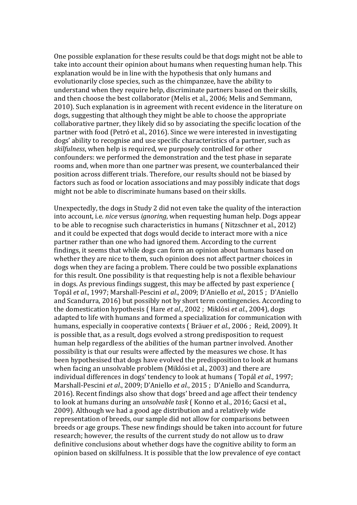One possible explanation for these results could be that dogs might not be able to take into account their opinion about humans when requesting human help. This explanation would be in line with the hypothesis that only humans and evolutionarily close species, such as the chimpanzee, have the ability to understand when they require help, discriminate partners based on their skills, and then choose the best collaborator (Melis et al., 2006; Melis and Semmann, 2010). Such explanation is in agreement with recent evidence in the literature on dogs, suggesting that although they might be able to choose the appropriate collaborative partner, they likely did so by associating the specific location of the partner with food (Petró et al., 2016). Since we were interested in investigating dogs' ability to recognise and use specific characteristics of a partner, such as skilfulness, when help is required, we purposely controlled for other confounders: we performed the demonstration and the test phase in separate rooms and, when more than one partner was present, we counterbalanced their position across different trials. Therefore, our results should not be biased by factors such as food or location associations and may possibly indicate that dogs might not be able to discriminate humans based on their skills.

Unexpectedly, the dogs in Study 2 did not even take the quality of the interaction into account, i.e. nice versus ignoring, when requesting human help. Dogs appear to be able to recognise such characteristics in humans (Nitzschner et al., 2012) and it could be expected that dogs would decide to interact more with a nice partner rather than one who had ignored them. According to the current findings, it seems that while dogs can form an opinion about humans based on whether they are nice to them, such opinion does not affect partner choices in dogs when they are facing a problem. There could be two possible explanations for this result. One possibility is that requesting help is not a flexible behaviour in dogs. As previous findings suggest, this may be affected by past experience ( Topál et al., 1997; Marshall-Pescini et al., 2009; D'Aniello et al., 2015 ; D'Aniello and Scandurra, 2016) but possibly not by short term contingencies. According to the domestication hypothesis (Hare et al., 2002 ; Miklósi et al., 2004), dogs adapted to life with humans and formed a specialization for communication with humans, especially in cooperative contexts (Bräuer et al., 2006 ; Reid, 2009). It is possible that, as a result, dogs evolved a strong predisposition to request human help regardless of the abilities of the human partner involved. Another possibility is that our results were affected by the measures we chose. It has been hypothesised that dogs have evolved the predisposition to look at humans when facing an unsolvable problem (Miklósi et al., 2003) and there are individual differences in dogs' tendency to look at humans (Topál et al., 1997; Marshall-Pescini et al., 2009; D'Aniello et al., 2015; D'Aniello and Scandurra, 2016). Recent findings also show that dogs' breed and age affect their tendency to look at humans during an *unsolvable task* (Konno et al., 2016; Gacsi et al., 2009). Although we had a good age distribution and a relatively wide representation of breeds, our sample did not allow for comparisons between breeds or age groups. These new findings should be taken into account for future research; however, the results of the current study do not allow us to draw definitive conclusions about whether dogs have the cognitive ability to form an opinion based on skilfulness. It is possible that the low prevalence of eye contact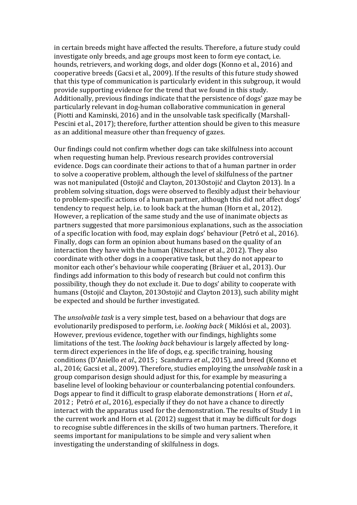in certain breeds might have affected the results. Therefore, a future study could investigate only breeds, and age groups most keen to form eye contact, i.e. hounds, retrievers, and working dogs, and older dogs (Konno et al., 2016) and cooperative breeds (Gacsi et al., 2009). If the results of this future study showed that this type of communication is particularly evident in this subgroup, it would provide supporting evidence for the trend that we found in this study. Additionally, previous findings indicate that the persistence of dogs' gaze may be particularly relevant in dog-human collaborative communication in general (Piotti and Kaminski, 2016) and in the unsolvable task specifically (Marshall-Pescini et al., 2017); therefore, further attention should be given to this measure as an additional measure other than frequency of gazes.

Our findings could not confirm whether dogs can take skilfulness into account when requesting human help. Previous research provides controversial evidence. Dogs can coordinate their actions to that of a human partner in order to solve a cooperative problem, although the level of skilfulness of the partner was not manipulated (Ostojić and Clayton, 2013Ostojić and Clayton 2013). In a problem solving situation, dogs were observed to flexibly adjust their behaviour to problem-specific actions of a human partner, although this did not affect dogs' tendency to request help, i.e. to look back at the human (Horn et al., 2012). However, a replication of the same study and the use of inanimate objects as partners suggested that more parsimonious explanations, such as the association of a specific location with food, may explain dogs' behaviour (Petró et al., 2016). Finally, dogs can form an opinion about humans based on the quality of an interaction they have with the human (Nitzschner et al., 2012). They also coordinate with other dogs in a cooperative task, but they do not appear to monitor each other's behaviour while cooperating (Bräuer et al., 2013). Our findings add information to this body of research but could not confirm this possibility, though they do not exclude it. Due to dogs' ability to cooperate with humans (Ostojić and Clayton, 2013Ostojić and Clayton 2013), such ability might be expected and should be further investigated.

The *unsolvable task* is a very simple test, based on a behaviour that dogs are evolutionarily predisposed to perform, *i.e. looking back* (Miklósi et al., 2003). However, previous evidence, together with our findings, highlights some limitations of the test. The *looking back* behaviour is largely affected by longterm direct experiences in the life of dogs, e.g. specific training, housing conditions(D'Aniello*etal*.,2015 ; Scandurra*etal*.,2015),andbreed(Konnoet al.,2016;Gacsietal.,2009).Therefore,studiesemployingthe*unsolvabletask* ina group comparison design should adjust for this, for example by measuring a baseline level of looking behaviour or counterbalancing potential confounders. Dogs appear to find it difficult to grasp elaborate demonstrations (Horn *et al.*, 2012 ; Petró et al., 2016), especially if they do not have a chance to directly interact with the apparatus used for the demonstration. The results of Study 1 in the current work and Horn et al. (2012) suggest that it may be difficult for dogs to recognise subtle differences in the skills of two human partners. Therefore, it seems important for manipulations to be simple and very salient when investigating the understanding of skilfulness in dogs.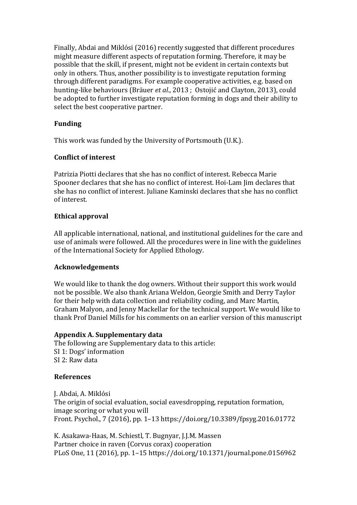Finally, Abdai and Miklósi (2016) recently suggested that different procedures might measure different aspects of reputation forming. Therefore, it may be possible that the skill, if present, might not be evident in certain contexts but only in others. Thus, another possibility is to investigate reputation forming through different paradigms. For example cooperative activities, e.g. based on hunting-like behaviours (Bräuer et al., 2013 ; Ostojić and Clayton, 2013), could be adopted to further investigate reputation forming in dogs and their ability to select the best cooperative partner.

### **Funding**

This work was funded by the University of Portsmouth (U.K.).

#### **Conflict of interest**

Patrizia Piotti declares that she has no conflict of interest. Rebecca Marie Spooner declares that she has no conflict of interest. Hoi-Lam Jim declares that she has no conflict of interest. Juliane Kaminski declares that she has no conflict ofinterest.

#### **Ethicalapproval**

All applicable international, national, and institutional guidelines for the care and use of animals were followed. All the procedures were in line with the guidelines of the International Society for Applied Ethology.

### **Acknowledgements**

We would like to thank the dog owners. Without their support this work would not be possible. We also thank Ariana Weldon, Georgie Smith and Derry Taylor for their help with data collection and reliability coding, and Marc Martin, Graham Malyon, and Jenny Mackellar for the technical support. We would like to thank Prof Daniel Mills for his comments on an earlier version of this manuscript

#### **AppendixA. Supplementarydata**

The following are Supplementary data to this article: SI 1: Dogs' information SI 2: Raw data

#### **References**

J. Abdai, A. Miklósi The origin of social evaluation, social eavesdropping, reputation formation, image scoring or what you will Front. Psychol., 7 (2016), pp. 1-13 https://doi.org/10.3389/fpsyg.2016.01772

K. Asakawa-Haas, M. Schiestl, T. Bugnyar, J.J.M. Massen Partner choice in raven (Corvus corax) cooperation PLoS One, 11 (2016), pp. 1-15 https://doi.org/10.1371/journal.pone.0156962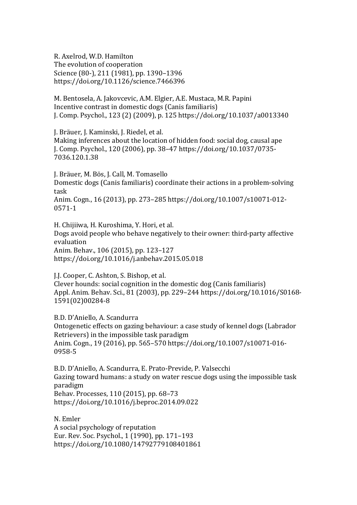R. Axelrod, W.D. Hamilton The evolution of cooperation Science (80-), 211 (1981), pp. 1390–1396 https://doi.org/10.1126/science.7466396

M.Bentosela,A.Jakovcevic,A.M.Elgier,A.E.Mustaca,M.R.Papini Incentive contrast in domestic dogs (Canis familiaris) J.Comp.Psychol.,123(2)(2009),p.125https://doi.org/10.1037/a0013340

J. Bräuer, J. Kaminski, J. Riedel, et al.

Making inferences about the location of hidden food: social dog, causal ape J. Comp. Psychol., 120 (2006), pp. 38-47 https://doi.org/10.1037/0735-7036.120.1.38

J. Bräuer, M. Bös, J. Call, M. Tomasello Domestic dogs (Canis familiaris) coordinate their actions in a problem-solving task Anim. Cogn., 16 (2013), pp. 273–285 https://doi.org/10.1007/s10071-012-0571-1

H. Chijiiwa, H. Kuroshima, Y. Hori, et al. Dogs avoid people who behave negatively to their owner: third-party affective evaluation Anim. Behav., 106 (2015), pp. 123-127 https://doi.org/10.1016/j.anbehav.2015.05.018

J.J.Cooper,C.Ashton,S.Bishop,etal. Clever hounds: social cognition in the domestic dog (Canis familiaris) Appl. Anim. Behav. Sci., 81 (2003), pp. 229-244 https://doi.org/10.1016/S0168-1591(02)00284-8

B.D.DíAniello,A.Scandurra Ontogenetic effects on gazing behaviour: a case study of kennel dogs (Labrador Retrievers) in the impossible task paradigm Anim. Cogn., 19 (2016), pp. 565-570 https://doi.org/10.1007/s10071-016-0958-5

B.D.DíAniello,A.Scandurra,E.Prato-Previde,P.Valsecchi Gazing toward humans: a study on water rescue dogs using the impossible task paradigm Behav. Processes, 110 (2015), pp. 68-73 https://doi.org/10.1016/j.beproc.2014.09.022

N.Emler A social psychology of reputation Eur. Rev. Soc. Psychol., 1 (1990), pp. 171-193 https://doi.org/10.1080/14792779108401861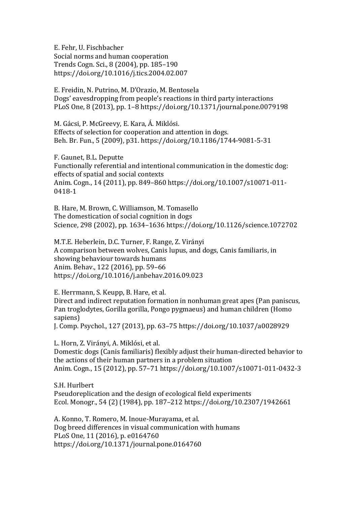E.Fehr,U.Fischbacher Social norms and human cooperation Trends Cogn. Sci., 8 (2004), pp. 185-190 https://doi.org/10.1016/j.tics.2004.02.007

E.Freidin,N.Putrino,M.DíOrazio,M.Bentosela Dogs' eavesdropping from people's reactions in third party interactions PLoS One, 8 (2013), pp. 1-8 https://doi.org/10.1371/journal.pone.0079198

M. Gácsi, P. McGreevy, E. Kara, Á. Miklósi. Effects of selection for cooperation and attention in dogs. Beh.Br.Fun.,5 (2009),p31. https://doi.org/10.1186/1744-9081-5-31

F.Gaunet,B.L.Deputte Functionally referential and intentional communication in the domestic dog: effects of spatial and social contexts Anim. Cogn., 14 (2011), pp. 849-860 https://doi.org/10.1007/s10071-011-0418-1

B. Hare, M. Brown, C. Williamson, M. Tomasello The domestication of social cognition in dogs Science, 298 (2002), pp. 1634-1636 https://doi.org/10.1126/science.1072702

M.T.E. Heberlein, D.C. Turner, F. Range, Z. Virányi A comparison between wolves, Canis lupus, and dogs, Canis familiaris, in showing behaviour towards humans Anim. Behav., 122 (2016), pp. 59-66 https://doi.org/10.1016/j.anbehav.2016.09.023

E. Herrmann, S. Keupp, B. Hare, et al. Direct and indirect reputation formation in nonhuman great apes (Pan paniscus, Pan troglodytes, Gorilla gorilla, Pongo pygmaeus) and human children (Homo sapiens) J. Comp. Psychol., 127 (2013), pp. 63–75 https://doi.org/10.1037/a0028929

L. Horn, Z. Virányi, A. Miklósi, et al. Domestic dogs (Canis familiaris) flexibly adjust their human-directed behavior to the actions of their human partners in a problem situation Anim. Cogn., 15 (2012), pp. 57-71 https://doi.org/10.1007/s10071-011-0432-3

S.H. Hurlbert Pseudoreplication and the design of ecological field experiments Ecol. Monogr., 54 (2) (1984), pp. 187-212 https://doi.org/10.2307/1942661

A. Konno, T. Romero, M. Inoue-Murayama, et al. Dog breed differences in visual communication with humans PLoS One, 11 (2016), p. e0164760 https://doi.org/10.1371/journal.pone.0164760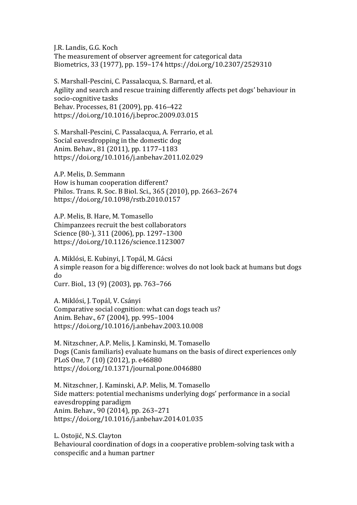J.R. Landis, G.G. Koch The measurement of observer agreement for categorical data Biometrics, 33 (1977), pp. 159–174 https://doi.org/10.2307/2529310

S. Marshall-Pescini, C. Passalacqua, S. Barnard, et al. Agility and search and rescue training differently affects pet dogs' behaviour in socio-cognitive tasks Behav. Processes, 81 (2009), pp. 416-422 https://doi.org/10.1016/j.beproc.2009.03.015

S.Marshall-Pescini,C.Passalacqua,A.Ferrario,etal. Social eavesdropping in the domestic dog Anim. Behav., 81 (2011), pp. 1177-1183 https://doi.org/10.1016/j.anbehav.2011.02.029

A.P.Melis,D.Semmann How is human cooperation different? Philos. Trans. R. Soc. B Biol. Sci., 365 (2010), pp. 2663-2674 https://doi.org/10.1098/rstb.2010.0157

A.P. Melis, B. Hare, M. Tomasello Chimpanzees recruit the best collaborators Science (80-), 311 (2006), pp. 1297-1300 https://doi.org/10.1126/science.1123007

A. Miklósi, E. Kubinyi, J. Topál, M. Gácsi A simple reason for a big difference: wolves do not look back at humans but dogs do Curr. Biol., 13(9)(2003), pp. 763–766

A. Miklósi, J. Topál, V. Csányi Comparative social cognition: what can dogs teach us? Anim. Behav., 67 (2004), pp. 995-1004 https://doi.org/10.1016/j.anbehav.2003.10.008

M. Nitzschner, A.P. Melis, J. Kaminski, M. Tomasello Dogs (Canis familiaris) evaluate humans on the basis of direct experiences only PLoS One, 7 (10) (2012), p. e46880 https://doi.org/10.1371/journal.pone.0046880

M. Nitzschner, J. Kaminski, A.P. Melis, M. Tomasello Side matters: potential mechanisms underlying dogs' performance in a social eavesdropping paradigm Anim. Behav., 90 (2014), pp. 263-271 https://doi.org/10.1016/j.anbehav.2014.01.035

L. Ostojić, N.S. Clayton Behavioural coordination of dogs in a cooperative problem-solving task with a conspecific and a human partner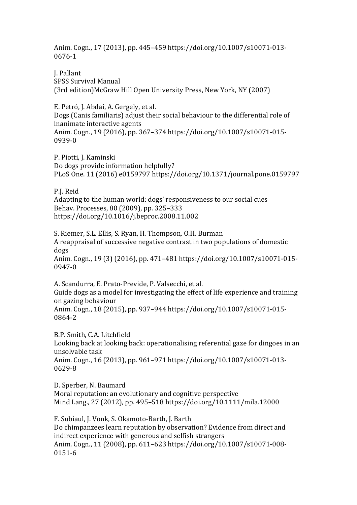Anim. Cogn., 17 (2013), pp. 445-459 https://doi.org/10.1007/s10071-013-0676-1

J.Pallant SPSS Survival Manual (3rd edition)McGraw Hill Open University Press, New York, NY (2007)

E. Petró, J. Abdai, A. Gergely, et al. Dogs (Canis familiaris) adjust their social behaviour to the differential role of inanimate interactive agents Anim. Cogn., 19 (2016), pp. 367-374 https://doi.org/10.1007/s10071-015-0939-0

P. Piotti, J. Kaminski Do dogs provide information helpfully? PLoS One. 11 (2016) e0159797 https://doi.org/10.1371/journal.pone.0159797

P.J.Reid Adapting to the human world: dogs' responsiveness to our social cues Behav. Processes, 80 (2009), pp. 325-333 https://doi.org/10.1016/j.beproc.2008.11.002

S. Riemer, S.L. Ellis, S. Ryan, H. Thompson, O.H. Burman A reappraisal of successive negative contrast in two populations of domestic dogs Anim. Cogn., 19(3)(2016), pp. 471-481 https://doi.org/10.1007/s10071-015-0947-0

A.Scandurra,E.Prato-Previde,P.Valsecchi,etal. Guide dogs as a model for investigating the effect of life experience and training on gazing behaviour Anim. Cogn., 18 (2015), pp. 937-944 https://doi.org/10.1007/s10071-015-0864-2

B.P.Smith,C.A.Litchfield Looking back at looking back: operationalising referential gaze for dingoes in an unsolvable task Anim. Cogn., 16 (2013), pp. 961-971 https://doi.org/10.1007/s10071-013-0629-8

D. Sperber, N. Baumard Moral reputation: an evolutionary and cognitive perspective Mind Lang., 27 (2012), pp. 495-518 https://doi.org/10.1111/mila.12000

F. Subiaul, J. Vonk, S. Okamoto-Barth, J. Barth Do chimpanzees learn reputation by observation? Evidence from direct and indirect experience with generous and selfish strangers Anim. Cogn., 11 (2008), pp. 611-623 https://doi.org/10.1007/s10071-008-0151-6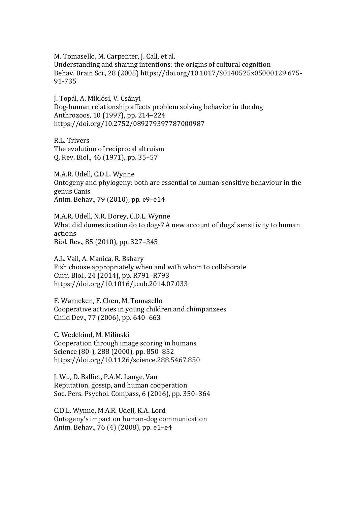M. Tomasello, M. Carpenter, J. Call, et al. Understanding and sharing intentions: the origins of cultural cognition Behav. Brain Sci., 28 (2005) https://doi.org/10.1017/S0140525x05000129675-91-735

J. Topál, A. Miklósi, V. Csányi Dog-human relationship affects problem solving behavior in the dog Anthrozoos, 10 (1997), pp. 214-224 https://doi.org/10.2752/089279397787000987

R.L.Trivers The evolution of reciprocal altruism Q. Rev. Biol., 46 (1971), pp. 35-57

M.A.R. Udell, C.D.L. Wynne Ontogeny and phylogeny: both are essential to human-sensitive behaviour in the genus Canis Anim. Behav., 79 (2010), pp. e9-e14

M.A.R. Udell, N.R. Dorey, C.D.L. Wynne What did domestication do to dogs? A new account of dogs' sensitivity to human actions Biol. Rev., 85 (2010), pp. 327-345

A.L. Vail, A. Manica, R. Bshary Fish choose appropriately when and with whom to collaborate Curr. Biol., 24 (2014), pp. R791-R793 https://doi.org/10.1016/j.cub.2014.07.033

F. Warneken, F. Chen, M. Tomasello Cooperative activies in young children and chimpanzees Child Dev., 77 (2006), pp. 640-663

C. Wedekind, M. Milinski Cooperation through image scoring in humans Science (80-), 288 (2000), pp. 850-852 https://doi.org/10.1126/science.288.5467.850

J. Wu, D. Balliet, P.A.M. Lange, Van Reputation, gossip, and human cooperation Soc. Pers. Psychol. Compass, 6 (2016), pp. 350-364

C.D.L. Wynne, M.A.R. Udell, K.A. Lord Ontogeny's impact on human-dog communication Anim. Behav., 76 (4) (2008), pp. e1-e4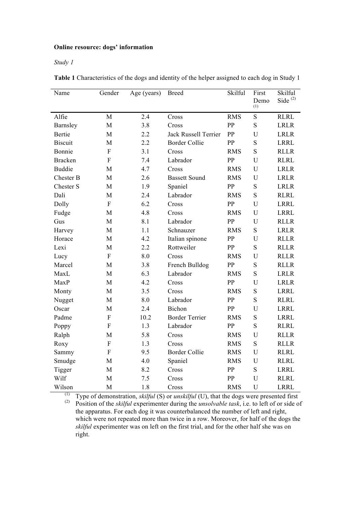#### **Online resource: dogs' information**

*Study 1*

| Name           | Gender         | Age (years) | <b>Breed</b>                | Skilful    | First       | Skilful       |
|----------------|----------------|-------------|-----------------------------|------------|-------------|---------------|
|                |                |             |                             |            | Demo<br>(1) | Side $^{(2)}$ |
| Alfie          | M              | 2.4         | Cross                       | <b>RMS</b> | ${\bf S}$   | <b>RLRL</b>   |
| Barnsley       | M              | 3.8         | Cross                       | PP         | S           | <b>LRLR</b>   |
| <b>Bertie</b>  | M              | 2.2         | <b>Jack Russell Terrier</b> | PP         | U           | <b>LRLR</b>   |
| <b>Biscuit</b> | M              | 2.2         | <b>Border Collie</b>        | PP         | S           | <b>LRRL</b>   |
| Bonnie         | $\overline{F}$ | 3.1         | Cross                       | <b>RMS</b> | S           | <b>RLLR</b>   |
| <b>Bracken</b> | $\overline{F}$ | 7.4         | Labrador                    | PP         | U           | <b>RLRL</b>   |
| <b>Buddie</b>  | M              | 4.7         | Cross                       | <b>RMS</b> | U           | <b>LRLR</b>   |
| Chester B      | M              | 2.6         | <b>Bassett Sound</b>        | <b>RMS</b> | U           | <b>LRLR</b>   |
| Chester S      | M              | 1.9         | Spaniel                     | PP         | ${\bf S}$   | <b>LRLR</b>   |
| Dali           | M              | 2.4         | Labrador                    | <b>RMS</b> | S           | <b>RLRL</b>   |
| Dolly          | $\overline{F}$ | 6.2         | Cross                       | PP         | U           | <b>LRRL</b>   |
| Fudge          | M              | 4.8         | Cross                       | <b>RMS</b> | U           | <b>LRRL</b>   |
| Gus            | M              | 8.1         | Labrador                    | PP         | U           | <b>RLLR</b>   |
| Harvey         | M              | 1.1         | Schnauzer                   | <b>RMS</b> | S           | <b>LRLR</b>   |
| Horace         | M              | 4.2         | Italian spinone             | PP         | U           | <b>RLLR</b>   |
| Lexi           | M              | 2.2         | Rottweiler                  | PP         | S           | <b>RLLR</b>   |
| Lucy           | $\overline{F}$ | 8.0         | Cross                       | <b>RMS</b> | U           | <b>RLLR</b>   |
| Marcel         | M              | 3.8         | French Bulldog              | PP         | S           | <b>RLLR</b>   |
| MaxL           | M              | 6.3         | Labrador                    | <b>RMS</b> | S           | <b>LRLR</b>   |
| MaxP           | $\mathbf M$    | 4.2         | Cross                       | PP         | U           | <b>LRLR</b>   |
| Monty          | M              | 3.5         | Cross                       | <b>RMS</b> | S           | <b>LRRL</b>   |
| Nugget         | M              | 8.0         | Labrador                    | PP         | S           | <b>RLRL</b>   |
| Oscar          | M              | 2.4         | Bichon                      | PP         | U           | <b>LRRL</b>   |
| Padme          | $\overline{F}$ | 10.2        | <b>Border Terrier</b>       | <b>RMS</b> | S           | <b>LRRL</b>   |
| Poppy          | $\overline{F}$ | 1.3         | Labrador                    | PP         | S           | <b>RLRL</b>   |
| Ralph          | M              | 5.8         | Cross                       | <b>RMS</b> | U           | <b>RLLR</b>   |
| Roxy           | $\overline{F}$ | 1.3         | Cross                       | <b>RMS</b> | S           | <b>RLLR</b>   |
| Sammy          | $\overline{F}$ | 9.5         | <b>Border Collie</b>        | <b>RMS</b> | U           | <b>RLRL</b>   |
| Smudge         | M              | 4.0         | Spaniel                     | <b>RMS</b> | U           | <b>RLRL</b>   |
| Tigger         | M              | 8.2         | Cross                       | PP         | ${\bf S}$   | <b>LRRL</b>   |
| Wilf           | M              | 7.5         | Cross                       | PP         | U           | <b>RLRL</b>   |
| Wilson         | M              | 1.8         | Cross                       | <b>RMS</b> | U           | <b>LRRL</b>   |

**Table 1** Characteristics of the dogs and identity of the helper assigned to each dog in Study 1

(1) Type of demonstration, *skilful* (S) or *unskilful* (U), that the dogs were presented first (2) Position of the *skilful* experimenter during the *unsolvable task*, i.e. to left of or side of

the apparatus. For each dog it was counterbalanced the number of left and right, which were not repeated more than twice in a row. Moreover, for half of the dogs the *skilful* experimenter was on left on the first trial, and for the other half she was on right.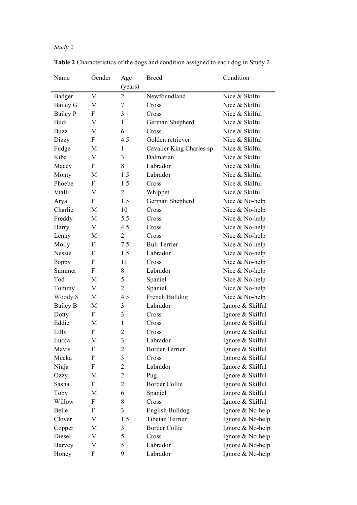### *Study 2*

| Name            | Gender                    | Age                     | <b>Breed</b>             | Condition        |
|-----------------|---------------------------|-------------------------|--------------------------|------------------|
|                 |                           | (years)                 |                          |                  |
| <b>Badger</b>   | M                         | $\overline{2}$          | Newfoundland             | Nice & Skilful   |
| <b>Bailey G</b> | M                         | $\overline{7}$          | Cross                    | Nice & Skilful   |
| <b>Bailey P</b> | F                         | 3                       | Cross                    | Nice & Skilful   |
| Budi            | M                         | $\mathbf{1}$            | German Shepherd          | Nice & Skilful   |
| <b>Buzz</b>     | M                         | 6                       | Cross                    | Nice & Skilful   |
| Dizzy           | F                         | 4.5                     | Golden retriever         | Nice & Skilful   |
| Fudge           | M                         | $\mathbf{1}$            | Cavalier King Charles sp | Nice & Skilful   |
| Kiba            | M                         | 3                       | Dalmatian                | Nice & Skilful   |
| Macey           | $\boldsymbol{F}$          | 8                       | Labrador                 | Nice & Skilful   |
| Monty           | M                         | 1.5                     | Labrador                 | Nice & Skilful   |
| Phoebe          | F                         | 1.5                     | Cross                    | Nice & Skilful   |
| Vialli          | M                         | $\overline{2}$          | Whippet                  | Nice & Skilful   |
| Arya            | F                         | 1.5                     | German Shepherd          | Nice & No-help   |
| Charlie         | M                         | 10                      | Cross                    | Nice & No-help   |
| Freddy          | M                         | 5.5                     | Cross                    | Nice & No-help   |
| Harry           | M                         | 4.5                     | Cross                    | Nice & No-help   |
| Lenny           | M                         | $\overline{2}$          | Cross                    | Nice & No-help   |
| Molly           | F                         | 7.5                     | <b>Bull Terrier</b>      | Nice & No-help   |
| Nessie          | $\mathbf{F}$              | 1.5                     | Labrador                 | Nice & No-help   |
| Poppy           | $\mathbf{F}$              | 11                      | Cross                    | Nice & No-help   |
| Summer          | F                         | 8                       | Labrador                 | Nice & No-help   |
| Tod             | M                         | 5                       | Spaniel                  | Nice & No-help   |
| Tommy           | M                         | $\overline{2}$          | Spaniel                  | Nice & No-help   |
| Woody S         | M                         | 4.5                     | French Bulldog           | Nice & No-help   |
| <b>Bailey B</b> | M                         | 3                       | Labrador                 | Ignore & Skilful |
| Dotty           | $\mathbf F$               | 3                       | Cross                    | Ignore & Skilful |
| Eddie           | M                         | 1                       | Cross                    | Ignore & Skilful |
| Lilly           | F                         | $\overline{2}$          | Cross                    | Ignore & Skilful |
| Lucca           | M                         | $\mathfrak{Z}$          | Labrador                 | Ignore & Skilful |
| Mavis           | F                         | $\overline{2}$          | <b>Border Terrier</b>    | Ignore & Skilful |
| Meeka           | $\boldsymbol{\mathrm{F}}$ | $\overline{\mathbf{3}}$ | Cross                    | Ignore & Skilful |
| Ninja           | $\boldsymbol{F}$          | $\overline{c}$          | Labrador                 | Ignore & Skilful |
| Ozzy            | M                         | $\overline{2}$          | Pug                      | Ignore & Skilful |
| Sasha           | $\boldsymbol{F}$          | $\overline{2}$          | <b>Border Collie</b>     | Ignore & Skilful |
| Toby            | M                         | 6                       | Spaniel                  | Ignore & Skilful |
| Willow          | F                         | 8                       | Cross                    | Ignore & Skilful |
| Belle           | $\boldsymbol{F}$          | 3                       | English Bulldog          | Ignore & No-help |
| Clover          | M                         | 1.5                     | <b>Tibetan Terrier</b>   | Ignore & No-help |
| Copper          | M                         | 3                       | <b>Border Collie</b>     | Ignore & No-help |
| Diesel          | M                         | 5                       | Cross                    | Ignore & No-help |
| Harvey          | M                         | 5                       | Labrador                 | Ignore & No-help |
| Honey           | F                         | 9                       | Labrador                 | Ignore & No-help |

**Table 2** Characteristics of the dogs and condition assigned to each dog in Study 2